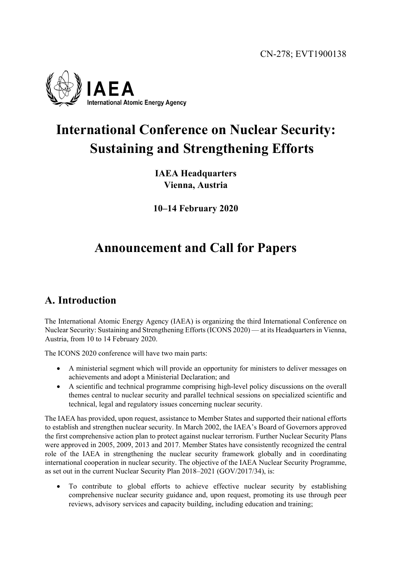CN-278; EVT1900138



# **International Conference on Nuclear Security: Sustaining and Strengthening Efforts**

**IAEA Headquarters Vienna, Austria** 

**10–14 February 2020**

# **Announcement and Call for Papers**

### **A. Introduction**

The International Atomic Energy Agency (IAEA) is organizing the third International Conference on Nuclear Security: Sustaining and Strengthening Efforts (ICONS 2020) — at its Headquarters in Vienna, Austria, from 10 to 14 February 2020.

The ICONS 2020 conference will have two main parts:

- A ministerial segment which will provide an opportunity for ministers to deliver messages on achievements and adopt a Ministerial Declaration; and
- A scientific and technical programme comprising high-level policy discussions on the overall themes central to nuclear security and parallel technical sessions on specialized scientific and technical, legal and regulatory issues concerning nuclear security.

The IAEA has provided, upon request, assistance to Member States and supported their national efforts to establish and strengthen nuclear security. In March 2002, the IAEA's Board of Governors approved the first comprehensive action plan to protect against nuclear terrorism. Further Nuclear Security Plans were approved in 2005, 2009, 2013 and 2017. Member States have consistently recognized the central role of the IAEA in strengthening the nuclear security framework globally and in coordinating international cooperation in nuclear security. The objective of the IAEA Nuclear Security Programme, as set out in the current Nuclear Security Plan 2018–2021 (GOV/2017/34), is:

 To contribute to global efforts to achieve effective nuclear security by establishing comprehensive nuclear security guidance and, upon request, promoting its use through peer reviews, advisory services and capacity building, including education and training;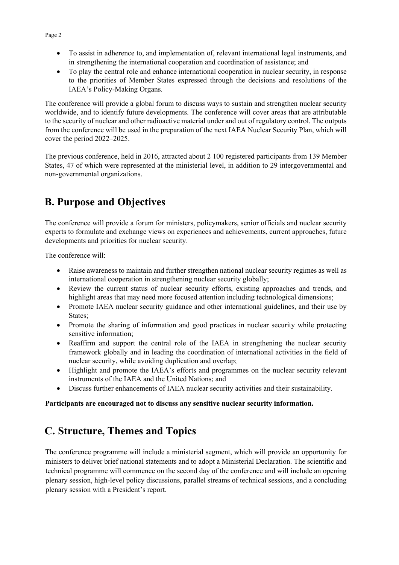- To assist in adherence to, and implementation of, relevant international legal instruments, and in strengthening the international cooperation and coordination of assistance; and
- To play the central role and enhance international cooperation in nuclear security, in response to the priorities of Member States expressed through the decisions and resolutions of the IAEA's Policy-Making Organs.

The conference will provide a global forum to discuss ways to sustain and strengthen nuclear security worldwide, and to identify future developments. The conference will cover areas that are attributable to the security of nuclear and other radioactive material under and out of regulatory control. The outputs from the conference will be used in the preparation of the next IAEA Nuclear Security Plan, which will cover the period 2022–2025.

The previous conference, held in 2016, attracted about 2 100 registered participants from 139 Member States, 47 of which were represented at the ministerial level, in addition to 29 intergovernmental and non-governmental organizations.

# **B. Purpose and Objectives**

The conference will provide a forum for ministers, policymakers, senior officials and nuclear security experts to formulate and exchange views on experiences and achievements, current approaches, future developments and priorities for nuclear security.

The conference will:

- Raise awareness to maintain and further strengthen national nuclear security regimes as well as international cooperation in strengthening nuclear security globally;
- Review the current status of nuclear security efforts, existing approaches and trends, and highlight areas that may need more focused attention including technological dimensions;
- Promote IAEA nuclear security guidance and other international guidelines, and their use by States;
- Promote the sharing of information and good practices in nuclear security while protecting sensitive information;
- Reaffirm and support the central role of the IAEA in strengthening the nuclear security framework globally and in leading the coordination of international activities in the field of nuclear security, while avoiding duplication and overlap;
- Highlight and promote the IAEA's efforts and programmes on the nuclear security relevant instruments of the IAEA and the United Nations; and
- Discuss further enhancements of IAEA nuclear security activities and their sustainability.

#### **Participants are encouraged not to discuss any sensitive nuclear security information.**

### **C. Structure, Themes and Topics**

The conference programme will include a ministerial segment, which will provide an opportunity for ministers to deliver brief national statements and to adopt a Ministerial Declaration. The scientific and technical programme will commence on the second day of the conference and will include an opening plenary session, high-level policy discussions, parallel streams of technical sessions, and a concluding plenary session with a President's report.

#### Page 2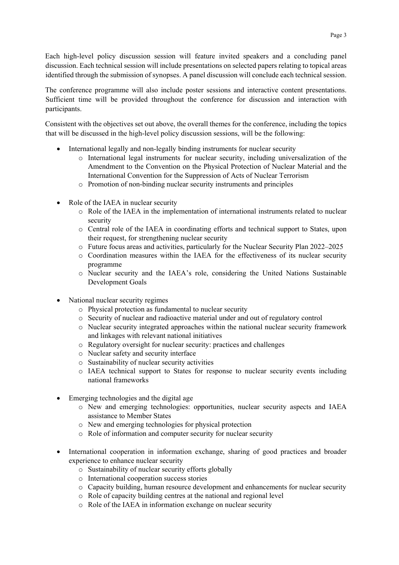Each high-level policy discussion session will feature invited speakers and a concluding panel discussion. Each technical session will include presentations on selected papers relating to topical areas identified through the submission of synopses. A panel discussion will conclude each technical session.

The conference programme will also include poster sessions and interactive content presentations. Sufficient time will be provided throughout the conference for discussion and interaction with participants.

Consistent with the objectives set out above, the overall themes for the conference, including the topics that will be discussed in the high-level policy discussion sessions, will be the following:

- International legally and non-legally binding instruments for nuclear security
	- o International legal instruments for nuclear security, including universalization of the Amendment to the Convention on the Physical Protection of Nuclear Material and the International Convention for the Suppression of Acts of Nuclear Terrorism
	- o Promotion of non-binding nuclear security instruments and principles
- Role of the IAEA in nuclear security
	- o Role of the IAEA in the implementation of international instruments related to nuclear security
	- o Central role of the IAEA in coordinating efforts and technical support to States, upon their request, for strengthening nuclear security
	- o Future focus areas and activities, particularly for the Nuclear Security Plan 2022–2025
	- o Coordination measures within the IAEA for the effectiveness of its nuclear security programme
	- o Nuclear security and the IAEA's role, considering the United Nations Sustainable Development Goals
- National nuclear security regimes
	- o Physical protection as fundamental to nuclear security
	- o Security of nuclear and radioactive material under and out of regulatory control
	- o Nuclear security integrated approaches within the national nuclear security framework and linkages with relevant national initiatives
	- o Regulatory oversight for nuclear security: practices and challenges
	- o Nuclear safety and security interface
	- o Sustainability of nuclear security activities
	- o IAEA technical support to States for response to nuclear security events including national frameworks
- Emerging technologies and the digital age
	- o New and emerging technologies: opportunities, nuclear security aspects and IAEA assistance to Member States
	- o New and emerging technologies for physical protection
	- o Role of information and computer security for nuclear security
- International cooperation in information exchange, sharing of good practices and broader experience to enhance nuclear security
	- o Sustainability of nuclear security efforts globally
	- o International cooperation success stories
	- o Capacity building, human resource development and enhancements for nuclear security
	- o Role of capacity building centres at the national and regional level
	- o Role of the IAEA in information exchange on nuclear security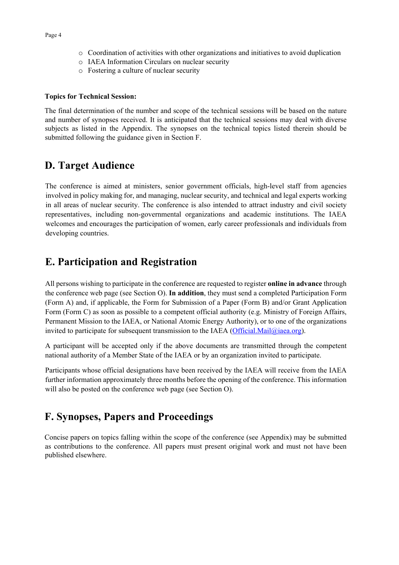- o IAEA Information Circulars on nuclear security
- o Fostering a culture of nuclear security

#### **Topics for Technical Session:**

The final determination of the number and scope of the technical sessions will be based on the nature and number of synopses received. It is anticipated that the technical sessions may deal with diverse subjects as listed in the Appendix. The synopses on the technical topics listed therein should be submitted following the guidance given in Section F.

### **D. Target Audience**

The conference is aimed at ministers, senior government officials, high-level staff from agencies involved in policy making for, and managing, nuclear security, and technical and legal experts working in all areas of nuclear security. The conference is also intended to attract industry and civil society representatives, including non-governmental organizations and academic institutions. The IAEA welcomes and encourages the participation of women, early career professionals and individuals from developing countries.

### **E. Participation and Registration**

All persons wishing to participate in the conference are requested to register **online in advance** through the conference web page (see Section O). **In addition**, they must send a completed Participation Form (Form A) and, if applicable, the Form for Submission of a Paper (Form B) and/or Grant Application Form (Form C) as soon as possible to a competent official authority (e.g. Ministry of Foreign Affairs, Permanent Mission to the IAEA, or National Atomic Energy Authority), or to one of the organizations invited to participate for subsequent transmission to the IAEA (Official.Mail $\omega$ iaea.org).

A participant will be accepted only if the above documents are transmitted through the competent national authority of a Member State of the IAEA or by an organization invited to participate.

Participants whose official designations have been received by the IAEA will receive from the IAEA further information approximately three months before the opening of the conference. This information will also be posted on the conference web page (see Section O).

### **F. Synopses, Papers and Proceedings**

Concise papers on topics falling within the scope of the conference (see Appendix) may be submitted as contributions to the conference. All papers must present original work and must not have been published elsewhere.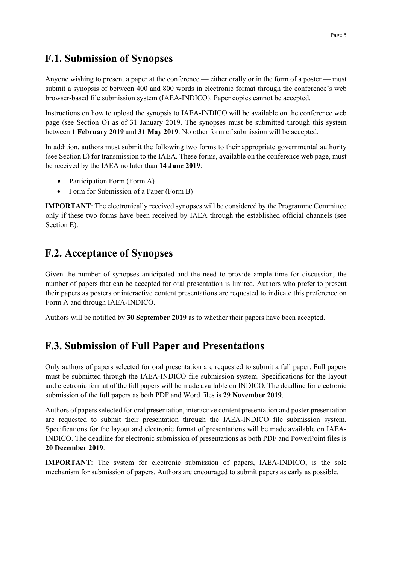### **F.1. Submission of Synopses**

Anyone wishing to present a paper at the conference — either orally or in the form of a poster — must submit a synopsis of between 400 and 800 words in electronic format through the conference's web browser-based file submission system (IAEA-INDICO). Paper copies cannot be accepted.

Instructions on how to upload the synopsis to IAEA-INDICO will be available on the conference web page (see Section O) as of 31 January 2019. The synopses must be submitted through this system between **1 February 2019** and **31 May 2019**. No other form of submission will be accepted.

In addition, authors must submit the following two forms to their appropriate governmental authority (see Section E) for transmission to the IAEA. These forms, available on the conference web page, must be received by the IAEA no later than **14 June 2019**:

- Participation Form (Form A)
- Form for Submission of a Paper (Form B)

**IMPORTANT**: The electronically received synopses will be considered by the Programme Committee only if these two forms have been received by IAEA through the established official channels (see Section E).

### **F.2. Acceptance of Synopses**

Given the number of synopses anticipated and the need to provide ample time for discussion, the number of papers that can be accepted for oral presentation is limited. Authors who prefer to present their papers as posters or interactive content presentations are requested to indicate this preference on Form A and through IAEA-INDICO.

Authors will be notified by **30 September 2019** as to whether their papers have been accepted.

### **F.3. Submission of Full Paper and Presentations**

Only authors of papers selected for oral presentation are requested to submit a full paper. Full papers must be submitted through the IAEA-INDICO file submission system. Specifications for the layout and electronic format of the full papers will be made available on INDICO. The deadline for electronic submission of the full papers as both PDF and Word files is **29 November 2019**.

Authors of papers selected for oral presentation, interactive content presentation and poster presentation are requested to submit their presentation through the IAEA-INDICO file submission system. Specifications for the layout and electronic format of presentations will be made available on IAEA-INDICO. The deadline for electronic submission of presentations as both PDF and PowerPoint files is **20 December 2019**.

**IMPORTANT**: The system for electronic submission of papers, IAEA-INDICO, is the sole mechanism for submission of papers. Authors are encouraged to submit papers as early as possible.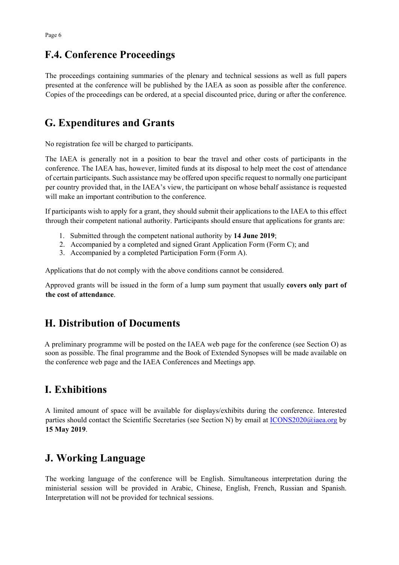### **F.4. Conference Proceedings**

The proceedings containing summaries of the plenary and technical sessions as well as full papers presented at the conference will be published by the IAEA as soon as possible after the conference. Copies of the proceedings can be ordered, at a special discounted price, during or after the conference.

# **G. Expenditures and Grants**

No registration fee will be charged to participants.

The IAEA is generally not in a position to bear the travel and other costs of participants in the conference. The IAEA has, however, limited funds at its disposal to help meet the cost of attendance of certain participants. Such assistance may be offered upon specific request to normally one participant per country provided that, in the IAEA's view, the participant on whose behalf assistance is requested will make an important contribution to the conference.

If participants wish to apply for a grant, they should submit their applications to the IAEA to this effect through their competent national authority. Participants should ensure that applications for grants are:

- 1. Submitted through the competent national authority by **14 June 2019**;
- 2. Accompanied by a completed and signed Grant Application Form (Form C); and
- 3. Accompanied by a completed Participation Form (Form A).

Applications that do not comply with the above conditions cannot be considered.

Approved grants will be issued in the form of a lump sum payment that usually **covers only part of the cost of attendance**.

# **H. Distribution of Documents**

A preliminary programme will be posted on the IAEA web page for the conference (see Section O) as soon as possible. The final programme and the Book of Extended Synopses will be made available on the conference web page and the IAEA Conferences and Meetings app.

# **I. Exhibitions**

A limited amount of space will be available for displays/exhibits during the conference. Interested parties should contact the Scientific Secretaries (see Section N) by email at  $ICONS2020@i$ iaea.org by **15 May 2019**.

# **J. Working Language**

The working language of the conference will be English. Simultaneous interpretation during the ministerial session will be provided in Arabic, Chinese, English, French, Russian and Spanish. Interpretation will not be provided for technical sessions.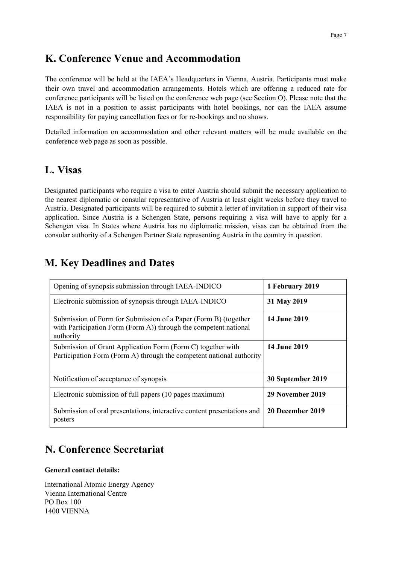### **K. Conference Venue and Accommodation**

The conference will be held at the IAEA's Headquarters in Vienna, Austria. Participants must make their own travel and accommodation arrangements. Hotels which are offering a reduced rate for conference participants will be listed on the conference web page (see Section O). Please note that the IAEA is not in a position to assist participants with hotel bookings, nor can the IAEA assume responsibility for paying cancellation fees or for re-bookings and no shows.

Detailed information on accommodation and other relevant matters will be made available on the conference web page as soon as possible.

#### **L. Visas**

Designated participants who require a visa to enter Austria should submit the necessary application to the nearest diplomatic or consular representative of Austria at least eight weeks before they travel to Austria. Designated participants will be required to submit a letter of invitation in support of their visa application. Since Austria is a Schengen State, persons requiring a visa will have to apply for a Schengen visa. In States where Austria has no diplomatic mission, visas can be obtained from the consular authority of a Schengen Partner State representing Austria in the country in question.

## Opening of synopsis submission through IAEA-INDICO **1 February 2019** Electronic submission of synopsis through IAEA-INDICO **31 May 2019** Submission of Form for Submission of a Paper (Form B) (together with Participation Form (Form A)) through the competent national authority **14 June 2019**  Submission of Grant Application Form (Form C) together with Participation Form (Form A) through the competent national authority **14 June 2019** Notification of acceptance of synopsis **30 September 2019** Electronic submission of full papers (10 pages maximum) **29 November 2019** Submission of oral presentations, interactive content presentations and posters **20 December 2019**

# **M. Key Deadlines and Dates**

# **N. Conference Secretariat**

#### **General contact details:**

International Atomic Energy Agency Vienna International Centre PO Box 100 1400 VIENNA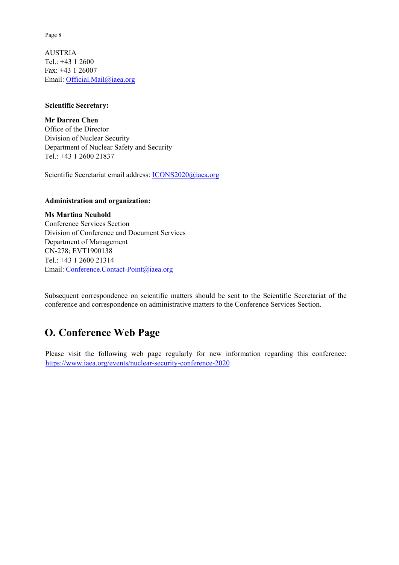Page 8

AUSTRIA Tel.: +43 1 2600 Fax: +43 1 26007 Email: Official.Mail@iaea.org

#### **Scientific Secretary:**

**Mr Darren Chen** Office of the Director Division of Nuclear Security Department of Nuclear Safety and Security Tel.: +43 1 2600 21837

Scientific Secretariat email address: ICONS2020@iaea.org

#### **Administration and organization:**

**Ms Martina Neuhold** Conference Services Section Division of Conference and Document Services Department of Management CN-278; EVT1900138 Tel.: +43 1 2600 21314 Email: Conference.Contact-Point@iaea.org

Subsequent correspondence on scientific matters should be sent to the Scientific Secretariat of the conference and correspondence on administrative matters to the Conference Services Section.

# **O. Conference Web Page**

Please visit the following web page regularly for new information regarding this conference: https://www.iaea.org/events/nuclear-security-conference-2020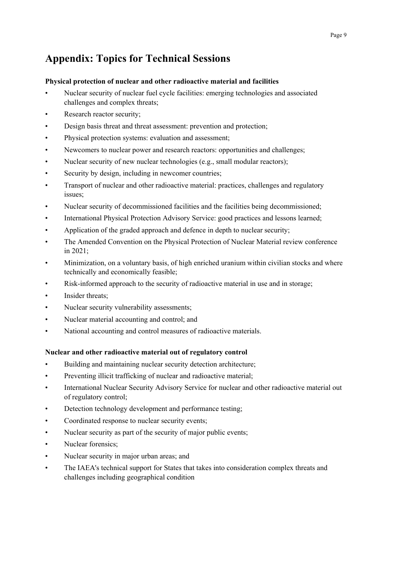# **Appendix: Topics for Technical Sessions**

#### **Physical protection of nuclear and other radioactive material and facilities**

- Nuclear security of nuclear fuel cycle facilities: emerging technologies and associated challenges and complex threats;
- Research reactor security;
- Design basis threat and threat assessment: prevention and protection;
- Physical protection systems: evaluation and assessment;
- Newcomers to nuclear power and research reactors: opportunities and challenges;
- Nuclear security of new nuclear technologies (e.g., small modular reactors);
- Security by design, including in newcomer countries;
- Transport of nuclear and other radioactive material: practices, challenges and regulatory issues;
- Nuclear security of decommissioned facilities and the facilities being decommissioned;
- International Physical Protection Advisory Service: good practices and lessons learned;
- Application of the graded approach and defence in depth to nuclear security;
- The Amended Convention on the Physical Protection of Nuclear Material review conference in 2021;
- Minimization, on a voluntary basis, of high enriched uranium within civilian stocks and where technically and economically feasible;
- Risk-informed approach to the security of radioactive material in use and in storage;
- Insider threats;
- Nuclear security vulnerability assessments;
- Nuclear material accounting and control; and
- National accounting and control measures of radioactive materials.

#### **Nuclear and other radioactive material out of regulatory control**

- Building and maintaining nuclear security detection architecture;
- Preventing illicit trafficking of nuclear and radioactive material;
- International Nuclear Security Advisory Service for nuclear and other radioactive material out of regulatory control;
- Detection technology development and performance testing;
- Coordinated response to nuclear security events;
- Nuclear security as part of the security of major public events;
- Nuclear forensics;
- Nuclear security in major urban areas; and
- The IAEA's technical support for States that takes into consideration complex threats and challenges including geographical condition